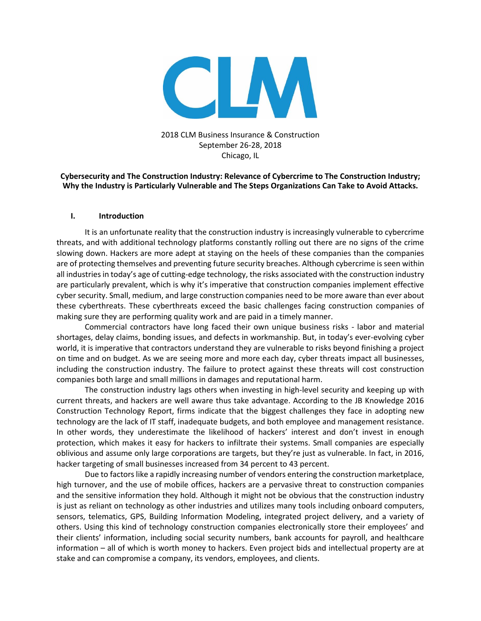

# 2018 CLM Business Insurance & Construction September 26-28, 2018 Chicago, IL

## **Cybersecurity and The Construction Industry: Relevance of Cybercrime to The Construction Industry; Why the Industry is Particularly Vulnerable and The Steps Organizations Can Take to Avoid Attacks.**

### **I. Introduction**

It is an unfortunate reality that the construction industry is increasingly vulnerable to cybercrime threats, and with additional technology platforms constantly rolling out there are no signs of the crime slowing down. Hackers are more adept at staying on the heels of these companies than the companies are of protecting themselves and preventing future security breaches. Although cybercrime is seen within all industries in today's age of cutting-edge technology, the risks associated with the construction industry are particularly prevalent, which is why it's imperative that construction companies implement effective cyber security. Small, medium, and large construction companies need to be more aware than ever about these cyberthreats. These cyberthreats exceed the basic challenges facing construction companies of making sure they are performing quality work and are paid in a timely manner.

Commercial contractors have long faced their own unique business risks - labor and material shortages, delay claims, bonding issues, and defects in workmanship. But, in today's ever-evolving cyber world, it is imperative that contractors understand they are vulnerable to risks beyond finishing a project on time and on budget. As we are seeing more and more each day, cyber threats impact all businesses, including the construction industry. The failure to protect against these threats will cost construction companies both large and small millions in damages and reputational harm.

The construction industry lags others when investing in high-level security and keeping up with current threats, and hackers are well aware thus take advantage. According to the JB Knowledge 2016 Construction Technology Report, firms indicate that the biggest challenges they face in adopting new technology are the lack of IT staff, inadequate budgets, and both employee and management resistance. In other words, they underestimate the likelihood of hackers' interest and don't invest in enough protection, which makes it easy for hackers to infiltrate their systems. Small companies are especially oblivious and assume only large corporations are targets, but they're just as vulnerable. In fact, in 2016, hacker targeting of small businesses increased from 34 percent to 43 percent.

Due to factors like a rapidly increasing number of vendors entering the construction marketplace, high turnover, and the use of mobile offices, hackers are a pervasive threat to construction companies and the sensitive information they hold. Although it might not be obvious that the construction industry is just as reliant on technology as other industries and utilizes many tools including onboard computers, sensors, telematics, GPS, Building Information Modeling, integrated project delivery, and a variety of others. Using this kind of technology construction companies electronically store their employees' and their clients' information, including social security numbers, bank accounts for payroll, and healthcare information – all of which is worth money to hackers. Even project bids and intellectual property are at stake and can compromise a company, its vendors, employees, and clients.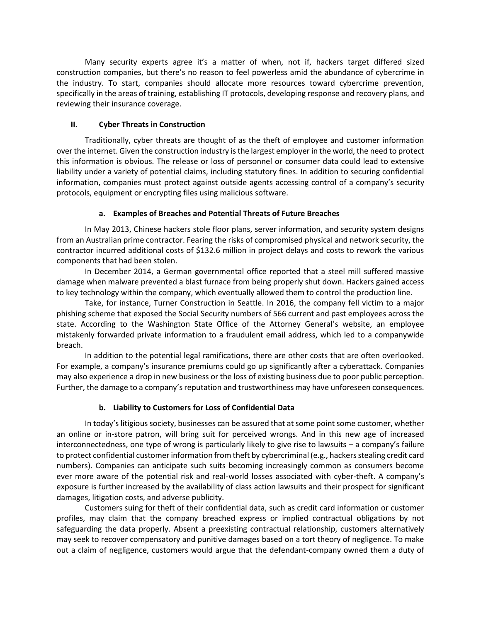Many security experts agree it's a matter of when, not if, hackers target differed sized construction companies, but there's no reason to feel powerless amid the abundance of cybercrime in the industry. To start, companies should allocate more resources toward cybercrime prevention, specifically in the areas of training, establishing IT protocols, developing response and recovery plans, and reviewing their insurance coverage.

# **II. Cyber Threats in Construction**

Traditionally, cyber threats are thought of as the theft of employee and customer information over the internet. Given the construction industry is the largest employer in the world, the need to protect this information is obvious. The release or loss of personnel or consumer data could lead to extensive liability under a variety of potential claims, including statutory fines. In addition to securing confidential information, companies must protect against outside agents accessing control of a company's security protocols, equipment or encrypting files using malicious software.

# **a. Examples of Breaches and Potential Threats of Future Breaches**

In May 2013, Chinese hackers stole floor plans, server information, and security system designs from an Australian prime contractor. Fearing the risks of compromised physical and network security, the contractor incurred additional costs of \$132.6 million in project delays and costs to rework the various components that had been stolen.

In December 2014, a German governmental office reported that a steel mill suffered massive damage when malware prevented a blast furnace from being properly shut down. Hackers gained access to key technology within the company, which eventually allowed them to control the production line.

Take, for instance, Turner Construction in Seattle. In 2016, the company fell victim to a major phishing scheme that exposed the Social Security numbers of 566 current and past employees across the state. According to the Washington State Office of the Attorney General's website, an employee mistakenly forwarded private information to a fraudulent email address, which led to a companywide breach.

In addition to the potential legal ramifications, there are other costs that are often overlooked. For example, a company's insurance premiums could go up significantly after a cyberattack. Companies may also experience a drop in new business or the loss of existing business due to poor public perception. Further, the damage to a company's reputation and trustworthiness may have unforeseen consequences.

# **b. Liability to Customers for Loss of Confidential Data**

In today's litigious society, businesses can be assured that at some point some customer, whether an online or in-store patron, will bring suit for perceived wrongs. And in this new age of increased interconnectedness, one type of wrong is particularly likely to give rise to lawsuits – a company's failure to protect confidential customer information from theft by cybercriminal (e.g., hackers stealing credit card numbers). Companies can anticipate such suits becoming increasingly common as consumers become ever more aware of the potential risk and real-world losses associated with cyber-theft. A company's exposure is further increased by the availability of class action lawsuits and their prospect for significant damages, litigation costs, and adverse publicity.

Customers suing for theft of their confidential data, such as credit card information or customer profiles, may claim that the company breached express or implied contractual obligations by not safeguarding the data properly. Absent a preexisting contractual relationship, customers alternatively may seek to recover compensatory and punitive damages based on a tort theory of negligence. To make out a claim of negligence, customers would argue that the defendant-company owned them a duty of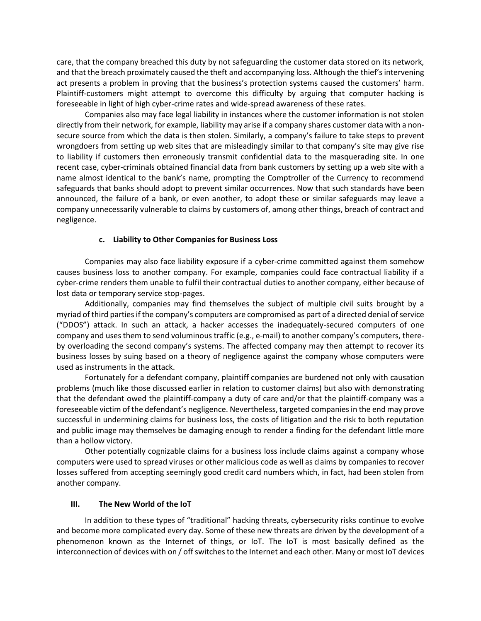care, that the company breached this duty by not safeguarding the customer data stored on its network, and that the breach proximately caused the theft and accompanying loss. Although the thief's intervening act presents a problem in proving that the business's protection systems caused the customers' harm. Plaintiff-customers might attempt to overcome this difficulty by arguing that computer hacking is foreseeable in light of high cyber-crime rates and wide-spread awareness of these rates.

Companies also may face legal liability in instances where the customer information is not stolen directly from their network, for example, liability may arise if a company shares customer data with a nonsecure source from which the data is then stolen. Similarly, a company's failure to take steps to prevent wrongdoers from setting up web sites that are misleadingly similar to that company's site may give rise to liability if customers then erroneously transmit confidential data to the masquerading site. In one recent case, cyber-criminals obtained financial data from bank customers by setting up a web site with a name almost identical to the bank's name, prompting the Comptroller of the Currency to recommend safeguards that banks should adopt to prevent similar occurrences. Now that such standards have been announced, the failure of a bank, or even another, to adopt these or similar safeguards may leave a company unnecessarily vulnerable to claims by customers of, among other things, breach of contract and negligence.

## **c. Liability to Other Companies for Business Loss**

Companies may also face liability exposure if a cyber-crime committed against them somehow causes business loss to another company. For example, companies could face contractual liability if a cyber-crime renders them unable to fulfil their contractual duties to another company, either because of lost data or temporary service stop-pages.

Additionally, companies may find themselves the subject of multiple civil suits brought by a myriad of third parties if the company's computers are compromised as part of a directed denial of service ("DDOS") attack. In such an attack, a hacker accesses the inadequately-secured computers of one company and uses them to send voluminous traffic (e.g., e-mail) to another company's computers, thereby overloading the second company's systems. The affected company may then attempt to recover its business losses by suing based on a theory of negligence against the company whose computers were used as instruments in the attack.

Fortunately for a defendant company, plaintiff companies are burdened not only with causation problems (much like those discussed earlier in relation to customer claims) but also with demonstrating that the defendant owed the plaintiff-company a duty of care and/or that the plaintiff-company was a foreseeable victim of the defendant's negligence. Nevertheless, targeted companies in the end may prove successful in undermining claims for business loss, the costs of litigation and the risk to both reputation and public image may themselves be damaging enough to render a finding for the defendant little more than a hollow victory.

Other potentially cognizable claims for a business loss include claims against a company whose computers were used to spread viruses or other malicious code as well as claims by companies to recover losses suffered from accepting seemingly good credit card numbers which, in fact, had been stolen from another company.

#### **III. The New World of the IoT**

In addition to these types of "traditional" hacking threats, cybersecurity risks continue to evolve and become more complicated every day. Some of these new threats are driven by the development of a phenomenon known as the Internet of things, or IoT. The IoT is most basically defined as the interconnection of devices with on / off switches to the Internet and each other. Many or most IoT devices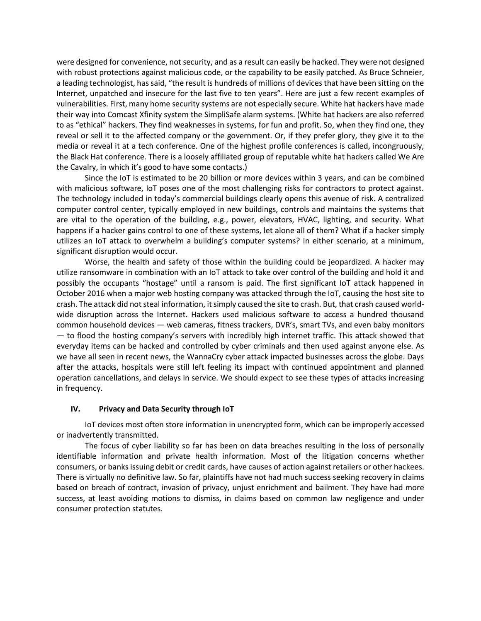were designed for convenience, not security, and as a result can easily be hacked. They were not designed with robust protections against malicious code, or the capability to be easily patched. As Bruce Schneier, a leading technologist, has said, "the result is hundreds of millions of devices that have been sitting on the Internet, unpatched and insecure for the last five to ten years". Here are just a few recent examples of vulnerabilities. First, many home security systems are not especially secure. White hat hackers have made their way into Comcast Xfinity system the SimpliSafe alarm systems. (White hat hackers are also referred to as "ethical" hackers. They find weaknesses in systems, for fun and profit. So, when they find one, they reveal or sell it to the affected company or the government. Or, if they prefer glory, they give it to the media or reveal it at a tech conference. One of the highest profile conferences is called, incongruously, the Black Hat conference. There is a loosely affiliated group of reputable white hat hackers called We Are the Cavalry, in which it's good to have some contacts.)

Since the IoT is estimated to be 20 billion or more devices within 3 years, and can be combined with malicious software, IoT poses one of the most challenging risks for contractors to protect against. The technology included in today's commercial buildings clearly opens this avenue of risk. A centralized computer control center, typically employed in new buildings, controls and maintains the systems that are vital to the operation of the building, e.g., power, elevators, HVAC, lighting, and security. What happens if a hacker gains control to one of these systems, let alone all of them? What if a hacker simply utilizes an IoT attack to overwhelm a building's computer systems? In either scenario, at a minimum, significant disruption would occur.

Worse, the health and safety of those within the building could be jeopardized. A hacker may utilize ransomware in combination with an IoT attack to take over control of the building and hold it and possibly the occupants "hostage" until a ransom is paid. The first significant IoT attack happened in October 2016 when a major web hosting company was attacked through the IoT, causing the host site to crash. The attack did not steal information, it simply caused the site to crash. But, that crash caused worldwide disruption across the Internet. Hackers used malicious software to access a hundred thousand common household devices — web cameras, fitness trackers, DVR's, smart TVs, and even baby monitors — to flood the hosting company's servers with incredibly high internet traffic. This attack showed that everyday items can be hacked and controlled by cyber criminals and then used against anyone else. As we have all seen in recent news, the WannaCry cyber attack impacted businesses across the globe. Days after the attacks, hospitals were still left feeling its impact with continued appointment and planned operation cancellations, and delays in service. We should expect to see these types of attacks increasing in frequency.

#### **IV. Privacy and Data Security through IoT**

IoT devices most often store information in unencrypted form, which can be improperly accessed or inadvertently transmitted.

The focus of cyber liability so far has been on data breaches resulting in the loss of personally identifiable information and private health information. Most of the litigation concerns whether consumers, or banks issuing debit or credit cards, have causes of action against retailers or other hackees. There is virtually no definitive law. So far, plaintiffs have not had much success seeking recovery in claims based on breach of contract, invasion of privacy, unjust enrichment and bailment. They have had more success, at least avoiding motions to dismiss, in claims based on common law negligence and under consumer protection statutes.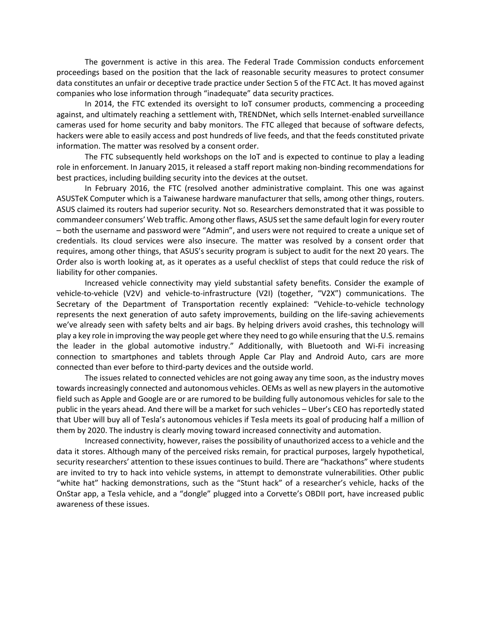The government is active in this area. The Federal Trade Commission conducts enforcement proceedings based on the position that the lack of reasonable security measures to protect consumer data constitutes an unfair or deceptive trade practice under Section 5 of the FTC Act. It has moved against companies who lose information through "inadequate" data security practices.

In 2014, the FTC extended its oversight to IoT consumer products, commencing a proceeding against, and ultimately reaching a settlement with, TRENDNet, which sells Internet-enabled surveillance cameras used for home security and baby monitors. The FTC alleged that because of software defects, hackers were able to easily access and post hundreds of live feeds, and that the feeds constituted private information. The matter was resolved by a consent order.

The FTC subsequently held workshops on the IoT and is expected to continue to play a leading role in enforcement. In January 2015, it released a staff report making non-binding recommendations for best practices, including building security into the devices at the outset.

In February 2016, the FTC (resolved another administrative complaint. This one was against ASUSTeK Computer which is a Taiwanese hardware manufacturer that sells, among other things, routers. ASUS claimed its routers had superior security. Not so. Researchers demonstrated that it was possible to commandeer consumers' Web traffic. Among other flaws, ASUS set the same default login for every router – both the username and password were "Admin", and users were not required to create a unique set of credentials. Its cloud services were also insecure. The matter was resolved by a consent order that requires, among other things, that ASUS's security program is subject to audit for the next 20 years. The Order also is worth looking at, as it operates as a useful checklist of steps that could reduce the risk of liability for other companies.

Increased vehicle connectivity may yield substantial safety benefits. Consider the example of vehicle-to-vehicle (V2V) and vehicle-to-infrastructure (V2I) (together, "V2X") communications. The Secretary of the Department of Transportation recently explained: "Vehicle-to-vehicle technology represents the next generation of auto safety improvements, building on the life-saving achievements we've already seen with safety belts and air bags. By helping drivers avoid crashes, this technology will play a key role in improving the way people get where they need to go while ensuring that the U.S. remains the leader in the global automotive industry." Additionally, with Bluetooth and Wi-Fi increasing connection to smartphones and tablets through Apple Car Play and Android Auto, cars are more connected than ever before to third-party devices and the outside world.

The issues related to connected vehicles are not going away any time soon, as the industry moves towards increasingly connected and autonomous vehicles. OEMs as well as new players in the automotive field such as Apple and Google are or are rumored to be building fully autonomous vehicles for sale to the public in the years ahead. And there will be a market for such vehicles – Uber's CEO has reportedly stated that Uber will buy all of Tesla's autonomous vehicles if Tesla meets its goal of producing half a million of them by 2020. The industry is clearly moving toward increased connectivity and automation.

Increased connectivity, however, raises the possibility of unauthorized access to a vehicle and the data it stores. Although many of the perceived risks remain, for practical purposes, largely hypothetical, security researchers' attention to these issues continues to build. There are "hackathons" where students are invited to try to hack into vehicle systems, in attempt to demonstrate vulnerabilities. Other public "white hat" hacking demonstrations, such as the "Stunt hack" of a researcher's vehicle, hacks of the OnStar app, a Tesla vehicle, and a "dongle" plugged into a Corvette's OBDII port, have increased public awareness of these issues.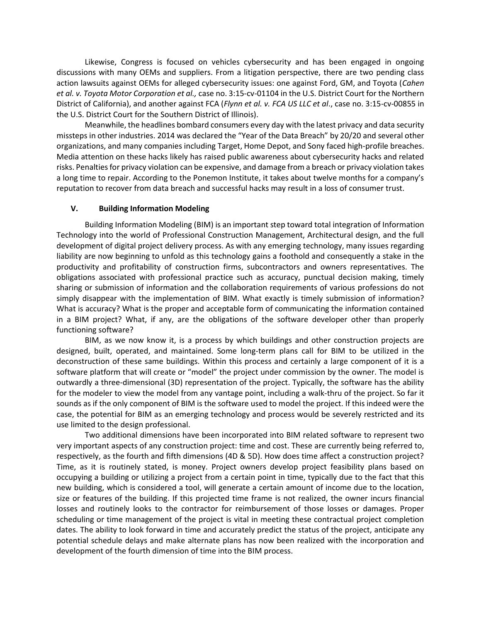Likewise, Congress is focused on vehicles cybersecurity and has been engaged in ongoing discussions with many OEMs and suppliers. From a litigation perspective, there are two pending class action lawsuits against OEMs for alleged cybersecurity issues: one against Ford, GM, and Toyota (*Cahen et al. v. Toyota Motor Corporation et al.,* case no. 3:15-cv-01104 in the U.S. District Court for the Northern District of California), and another against FCA (*Flynn et al. v. FCA US LLC et al*., case no. 3:15-cv-00855 in the U.S. District Court for the Southern District of Illinois).

Meanwhile, the headlines bombard consumers every day with the latest privacy and data security missteps in other industries. 2014 was declared the "Year of the Data Breach" by 20/20 and several other organizations, and many companies including Target, Home Depot, and Sony faced high-profile breaches. Media attention on these hacks likely has raised public awareness about cybersecurity hacks and related risks. Penalties for privacy violation can be expensive, and damage from a breach or privacy violation takes a long time to repair. According to the Ponemon Institute, it takes about twelve months for a company's reputation to recover from data breach and successful hacks may result in a loss of consumer trust.

### **V. Building Information Modeling**

Building Information Modeling (BIM) is an important step toward total integration of Information Technology into the world of Professional Construction Management, Architectural design, and the full development of digital project delivery process. As with any emerging technology, many issues regarding liability are now beginning to unfold as this technology gains a foothold and consequently a stake in the productivity and profitability of construction firms, subcontractors and owners representatives. The obligations associated with professional practice such as accuracy, punctual decision making, timely sharing or submission of information and the collaboration requirements of various professions do not simply disappear with the implementation of BIM. What exactly is timely submission of information? What is accuracy? What is the proper and acceptable form of communicating the information contained in a BIM project? What, if any, are the obligations of the software developer other than properly functioning software?

BIM, as we now know it, is a process by which buildings and other construction projects are designed, built, operated, and maintained. Some long-term plans call for BIM to be utilized in the deconstruction of these same buildings. Within this process and certainly a large component of it is a software platform that will create or "model" the project under commission by the owner. The model is outwardly a three-dimensional (3D) representation of the project. Typically, the software has the ability for the modeler to view the model from any vantage point, including a walk-thru of the project. So far it sounds as if the only component of BIM is the software used to model the project. If this indeed were the case, the potential for BIM as an emerging technology and process would be severely restricted and its use limited to the design professional.

Two additional dimensions have been incorporated into BIM related software to represent two very important aspects of any construction project: time and cost. These are currently being referred to, respectively, as the fourth and fifth dimensions (4D & 5D). How does time affect a construction project? Time, as it is routinely stated, is money. Project owners develop project feasibility plans based on occupying a building or utilizing a project from a certain point in time, typically due to the fact that this new building, which is considered a tool, will generate a certain amount of income due to the location, size or features of the building. If this projected time frame is not realized, the owner incurs financial losses and routinely looks to the contractor for reimbursement of those losses or damages. Proper scheduling or time management of the project is vital in meeting these contractual project completion dates. The ability to look forward in time and accurately predict the status of the project, anticipate any potential schedule delays and make alternate plans has now been realized with the incorporation and development of the fourth dimension of time into the BIM process.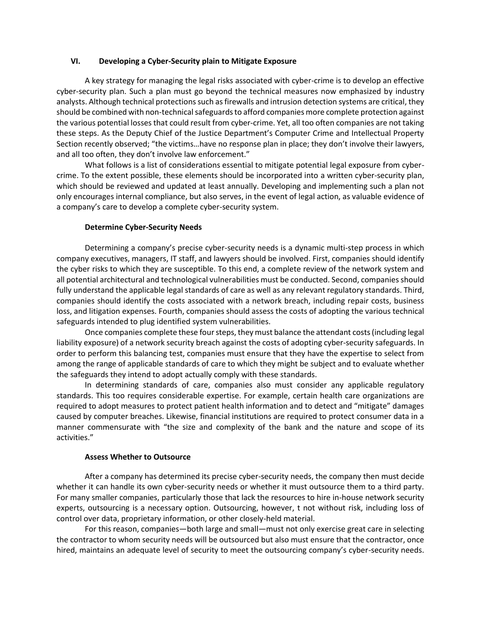### **VI. Developing a Cyber-Security plain to Mitigate Exposure**

A key strategy for managing the legal risks associated with cyber-crime is to develop an effective cyber-security plan. Such a plan must go beyond the technical measures now emphasized by industry analysts. Although technical protections such as firewalls and intrusion detection systems are critical, they should be combined with non-technical safeguards to afford companies more complete protection against the various potential losses that could result from cyber-crime. Yet, all too often companies are not taking these steps. As the Deputy Chief of the Justice Department's Computer Crime and Intellectual Property Section recently observed; "the victims…have no response plan in place; they don't involve their lawyers, and all too often, they don't involve law enforcement."

What follows is a list of considerations essential to mitigate potential legal exposure from cybercrime. To the extent possible, these elements should be incorporated into a written cyber-security plan, which should be reviewed and updated at least annually. Developing and implementing such a plan not only encourages internal compliance, but also serves, in the event of legal action, as valuable evidence of a company's care to develop a complete cyber-security system.

## **Determine Cyber-Security Needs**

Determining a company's precise cyber-security needs is a dynamic multi-step process in which company executives, managers, IT staff, and lawyers should be involved. First, companies should identify the cyber risks to which they are susceptible. To this end, a complete review of the network system and all potential architectural and technological vulnerabilities must be conducted. Second, companies should fully understand the applicable legal standards of care as well as any relevant regulatory standards. Third, companies should identify the costs associated with a network breach, including repair costs, business loss, and litigation expenses. Fourth, companies should assess the costs of adopting the various technical safeguards intended to plug identified system vulnerabilities.

Once companies complete these four steps, they must balance the attendant costs (including legal liability exposure) of a network security breach against the costs of adopting cyber-security safeguards. In order to perform this balancing test, companies must ensure that they have the expertise to select from among the range of applicable standards of care to which they might be subject and to evaluate whether the safeguards they intend to adopt actually comply with these standards.

In determining standards of care, companies also must consider any applicable regulatory standards. This too requires considerable expertise. For example, certain health care organizations are required to adopt measures to protect patient health information and to detect and "mitigate" damages caused by computer breaches. Likewise, financial institutions are required to protect consumer data in a manner commensurate with "the size and complexity of the bank and the nature and scope of its activities."

## **Assess Whether to Outsource**

After a company has determined its precise cyber-security needs, the company then must decide whether it can handle its own cyber-security needs or whether it must outsource them to a third party. For many smaller companies, particularly those that lack the resources to hire in-house network security experts, outsourcing is a necessary option. Outsourcing, however, t not without risk, including loss of control over data, proprietary information, or other closely-held material.

For this reason, companies—both large and small—must not only exercise great care in selecting the contractor to whom security needs will be outsourced but also must ensure that the contractor, once hired, maintains an adequate level of security to meet the outsourcing company's cyber-security needs.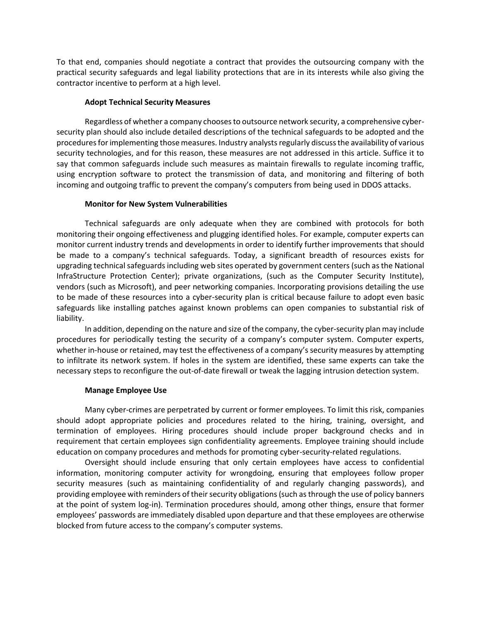To that end, companies should negotiate a contract that provides the outsourcing company with the practical security safeguards and legal liability protections that are in its interests while also giving the contractor incentive to perform at a high level.

### **Adopt Technical Security Measures**

Regardless of whether a company chooses to outsource network security, a comprehensive cybersecurity plan should also include detailed descriptions of the technical safeguards to be adopted and the procedures for implementing those measures. Industry analysts regularly discuss the availability of various security technologies, and for this reason, these measures are not addressed in this article. Suffice it to say that common safeguards include such measures as maintain firewalls to regulate incoming traffic, using encryption software to protect the transmission of data, and monitoring and filtering of both incoming and outgoing traffic to prevent the company's computers from being used in DDOS attacks.

### **Monitor for New System Vulnerabilities**

Technical safeguards are only adequate when they are combined with protocols for both monitoring their ongoing effectiveness and plugging identified holes. For example, computer experts can monitor current industry trends and developments in order to identify further improvements that should be made to a company's technical safeguards. Today, a significant breadth of resources exists for upgrading technical safeguards including web sites operated by government centers (such as the National InfraStructure Protection Center); private organizations, (such as the Computer Security Institute), vendors (such as Microsoft), and peer networking companies. Incorporating provisions detailing the use to be made of these resources into a cyber-security plan is critical because failure to adopt even basic safeguards like installing patches against known problems can open companies to substantial risk of liability.

In addition, depending on the nature and size of the company, the cyber-security plan may include procedures for periodically testing the security of a company's computer system. Computer experts, whether in-house or retained, may test the effectiveness of a company's security measures by attempting to infiltrate its network system. If holes in the system are identified, these same experts can take the necessary steps to reconfigure the out-of-date firewall or tweak the lagging intrusion detection system.

#### **Manage Employee Use**

Many cyber-crimes are perpetrated by current or former employees. To limit this risk, companies should adopt appropriate policies and procedures related to the hiring, training, oversight, and termination of employees. Hiring procedures should include proper background checks and in requirement that certain employees sign confidentiality agreements. Employee training should include education on company procedures and methods for promoting cyber-security-related regulations.

Oversight should include ensuring that only certain employees have access to confidential information, monitoring computer activity for wrongdoing, ensuring that employees follow proper security measures (such as maintaining confidentiality of and regularly changing passwords), and providing employee with reminders of their security obligations (such as through the use of policy banners at the point of system log-in). Termination procedures should, among other things, ensure that former employees' passwords are immediately disabled upon departure and that these employees are otherwise blocked from future access to the company's computer systems.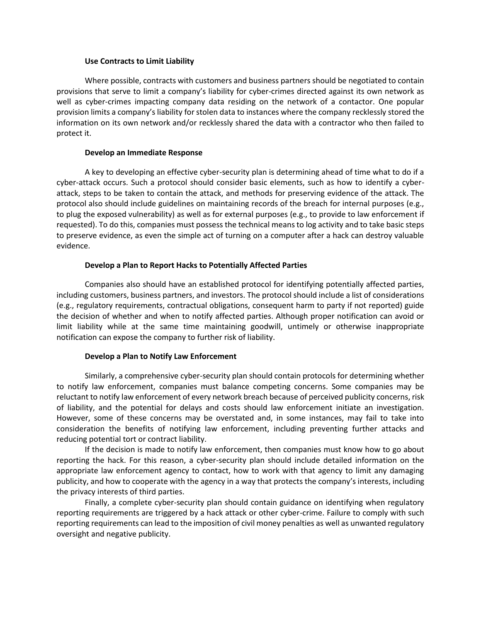#### **Use Contracts to Limit Liability**

Where possible, contracts with customers and business partners should be negotiated to contain provisions that serve to limit a company's liability for cyber-crimes directed against its own network as well as cyber-crimes impacting company data residing on the network of a contactor. One popular provision limits a company's liability for stolen data to instances where the company recklessly stored the information on its own network and/or recklessly shared the data with a contractor who then failed to protect it.

### **Develop an Immediate Response**

A key to developing an effective cyber-security plan is determining ahead of time what to do if a cyber-attack occurs. Such a protocol should consider basic elements, such as how to identify a cyberattack, steps to be taken to contain the attack, and methods for preserving evidence of the attack. The protocol also should include guidelines on maintaining records of the breach for internal purposes (e.g., to plug the exposed vulnerability) as well as for external purposes (e.g., to provide to law enforcement if requested). To do this, companies must possess the technical means to log activity and to take basic steps to preserve evidence, as even the simple act of turning on a computer after a hack can destroy valuable evidence.

## **Develop a Plan to Report Hacks to Potentially Affected Parties**

Companies also should have an established protocol for identifying potentially affected parties, including customers, business partners, and investors. The protocol should include a list of considerations (e.g., regulatory requirements, contractual obligations, consequent harm to party if not reported) guide the decision of whether and when to notify affected parties. Although proper notification can avoid or limit liability while at the same time maintaining goodwill, untimely or otherwise inappropriate notification can expose the company to further risk of liability.

## **Develop a Plan to Notify Law Enforcement**

Similarly, a comprehensive cyber-security plan should contain protocols for determining whether to notify law enforcement, companies must balance competing concerns. Some companies may be reluctant to notify law enforcement of every network breach because of perceived publicity concerns, risk of liability, and the potential for delays and costs should law enforcement initiate an investigation. However, some of these concerns may be overstated and, in some instances, may fail to take into consideration the benefits of notifying law enforcement, including preventing further attacks and reducing potential tort or contract liability.

If the decision is made to notify law enforcement, then companies must know how to go about reporting the hack. For this reason, a cyber-security plan should include detailed information on the appropriate law enforcement agency to contact, how to work with that agency to limit any damaging publicity, and how to cooperate with the agency in a way that protects the company's interests, including the privacy interests of third parties.

Finally, a complete cyber-security plan should contain guidance on identifying when regulatory reporting requirements are triggered by a hack attack or other cyber-crime. Failure to comply with such reporting requirements can lead to the imposition of civil money penalties as well as unwanted regulatory oversight and negative publicity.